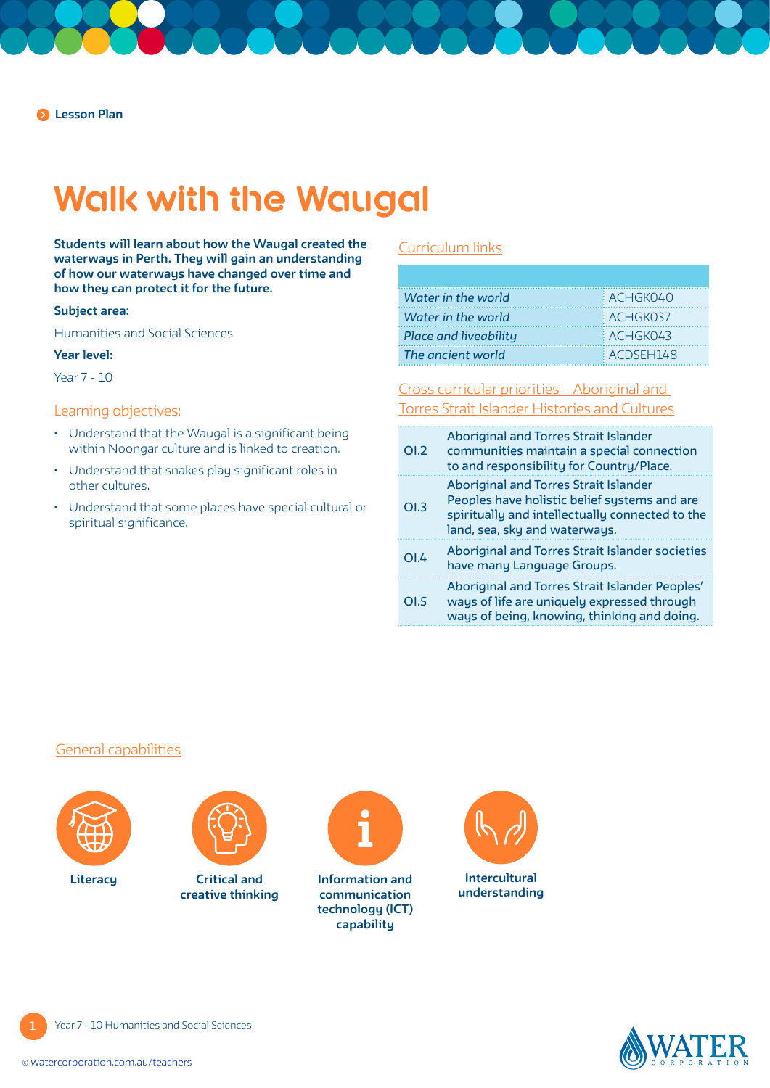# **Walk with the Waugal**

**Students will learn about how the Waugal created the waterways in Perth. They will gain an understanding of how our waterways have changed over time and how they can protect it for the future.**

#### **Subject area:**

Humanities and Social Sciences

#### **Year level:**

Year 7 - 10

#### Learning objectives:

- Understand that the Waugal is a significant being within Noongar culture and is linked to creation.
- Understand that snakes play significant roles in other cultures.
- Understand that some places have special cultural or spiritual significance.

## [Curriculum links](https://k10outline.scsa.wa.edu.au/home/teaching/curriculum-browser/humanities-and-social-sciences#year-7-syllabus)

| Water in the world    | ACHGK040        |
|-----------------------|-----------------|
| Water in the world    | <b>ACHGK037</b> |
| Place and liveability | $ACH$ GKO43     |
| The ancient world     | ACDSEH148       |

[Cross curricular priorities – Aboriginal and](https://www.australiancurriculum.edu.au/f-10-curriculum/cross-curriculum-priorities/aboriginal-and-torres-strait-islander-histories-and-cultures/)  [Torres Strait Islander Histories and Cultures](https://www.australiancurriculum.edu.au/f-10-curriculum/cross-curriculum-priorities/aboriginal-and-torres-strait-islander-histories-and-cultures/)

| O1.2 | <b>Aboriginal and Torres Strait Islander</b><br>communities maintain a special connection<br>to and responsibility for Country/Place.                                     |
|------|---------------------------------------------------------------------------------------------------------------------------------------------------------------------------|
| OI.3 | Aboriginal and Torres Strait Islander<br>Peoples have holistic belief systems and are<br>spiritually and intellectually connected to the<br>land, sea, sky and waterways. |
| OLA  | Aboriginal and Torres Strait Islander societies<br>have many Language Groups.                                                                                             |
| OLS  | Aboriginal and Torres Strait Islander Peoples'<br>ways of life are uniquely expressed through<br>ways of being, knowing, thinking and doing.                              |

### [General capabilities](https://k10outline.scsa.wa.edu.au/home/p-10-curriculum/general-capabilities-over/general-capabilities-overview/general-capabilities-in-the-australian-curriculum)





**Critical and creative thinking**



**Literacy Information and <b>Information** and **communication technology (ICT) capability**





**1**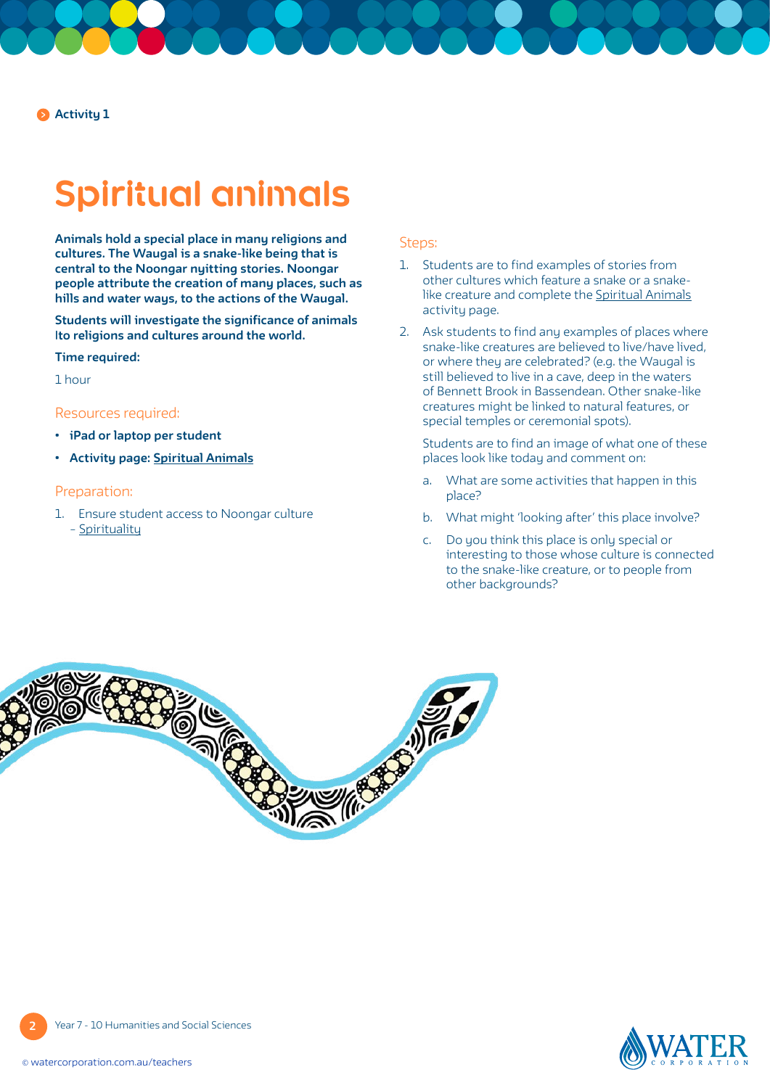**Activity 1**

# **Spiritual animals**

**Animals hold a special place in many religions and cultures. The Waugal is a snake-like being that is central to the Noongar nyitting stories. Noongar people attribute the creation of many places, such as hills and water ways, to the actions of the Waugal.**

**Students will investigate the significance of animals |to religions and cultures around the world.**

#### **Time required:**

1 hour

#### Resources required:

- **• iPad or laptop per student**
- **• Activity page: [Spiritual Animals](#page-4-0)**

### Preparation:

1. Ensure student access to Noongar culture – [Spirituality](https://www.noongarculture.org.au/spirituality/)

#### Steps:

- 1. Students are to find examples of stories from other cultures which feature a snake or a snake-like creature and complete the [Spiritual Animals](#page-4-0) activity page.
- 2. Ask students to find any examples of places where snake-like creatures are believed to live/have lived, or where they are celebrated? (e.g. the Waugal is still believed to live in a cave, deep in the waters of Bennett Brook in Bassendean. Other snake-like creatures might be linked to natural features, or special temples or ceremonial spots).

 Students are to find an image of what one of these places look like today and comment on:

- a. What are some activities that happen in this place?
- b. What might 'looking after' this place involve?
- c. Do you think this place is only special or interesting to those whose culture is connected to the snake-like creature, or to people from other backgrounds?





**2** Year 7 - 10 Humanities and Social Sciences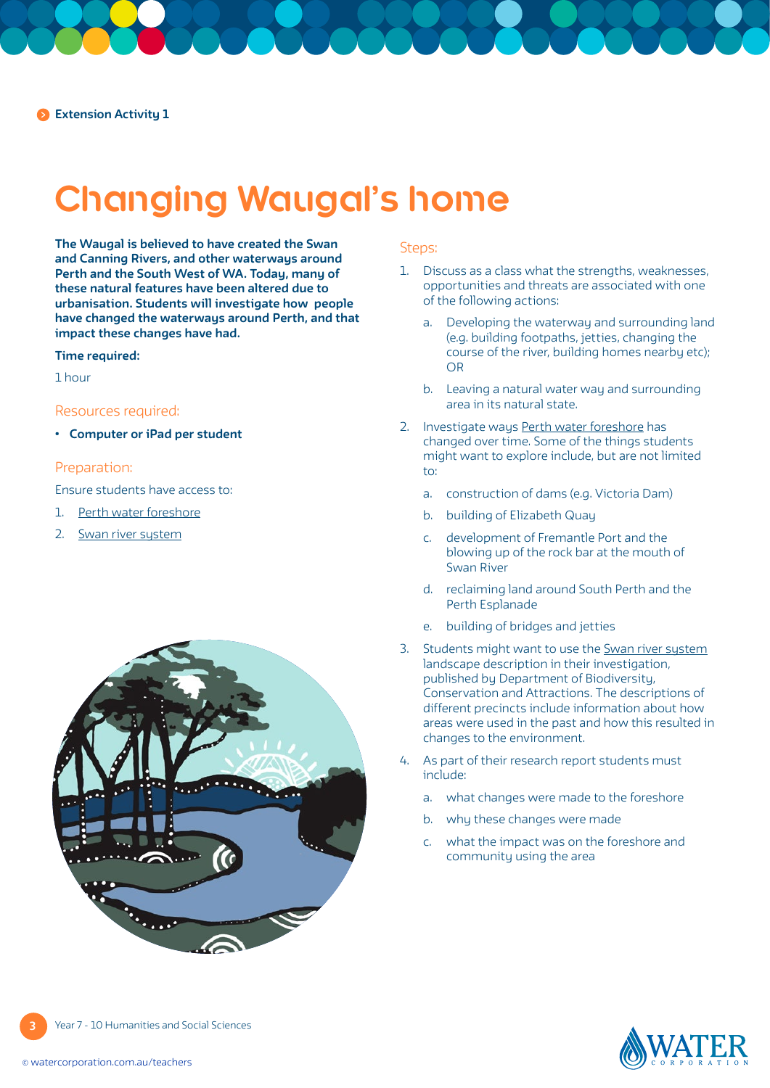## **Changing Waugal's home**

**The Waugal is believed to have created the Swan and Canning Rivers, and other waterways around Perth and the South West of WA. Today, many of these natural features have been altered due to urbanisation. Students will investigate how people have changed the waterways around Perth, and that impact these changes have had.** 

#### **Time required:**

1 hour

### Resources required:

**• Computer or iPad per student** 

## Preparation:

Ensure students have access to:

- 1. [Perth water foreshore](https://thewest.com.au/news/wa/perth-water-foreshores-transformed-over-two-centuries-ng-b881047393z)
- 2. Swan river sustem



## Steps:

- 1. Discuss as a class what the strengths, weaknesses, opportunities and threats are associated with one of the following actions:
	- a. Developing the waterway and surrounding land (e.g. building footpaths, jetties, changing the course of the river, building homes nearby etc); OR
	- b. Leaving a natural water way and surrounding area in its natural state.
- 2. Investigate ways [Perth water foreshore](https://thewest.com.au/news/wa/perth-water-foreshores-transformed-over-two-centuries-ng-b881047393z) has changed over time. Some of the things students might want to explore include, but are not limited to:
	- a. construction of dams (e.g. Victoria Dam)
	- b. building of Elizabeth Quay
	- c. development of Fremantle Port and the blowing up of the rock bar at the mouth of Swan River
	- d. reclaiming land around South Perth and the Perth Esplanade
	- e. building of bridges and jetties
- 3. Students might want to use the [Swan river system](https://www.dpaw.wa.gov.au/management/swan-canning-riverpark/171-about-the-river-system/369-landscape-description) landscape description in their investigation, published by Department of Biodiversity, Conservation and Attractions. The descriptions of different precincts include information about how areas were used in the past and how this resulted in changes to the environment.
- 4. As part of their research report students must include:
	- a. what changes were made to the foreshore
	- b. why these changes were made
	- c. what the impact was on the foreshore and community using the area



**3** Year 7 - 10 Humanities and Social Sciences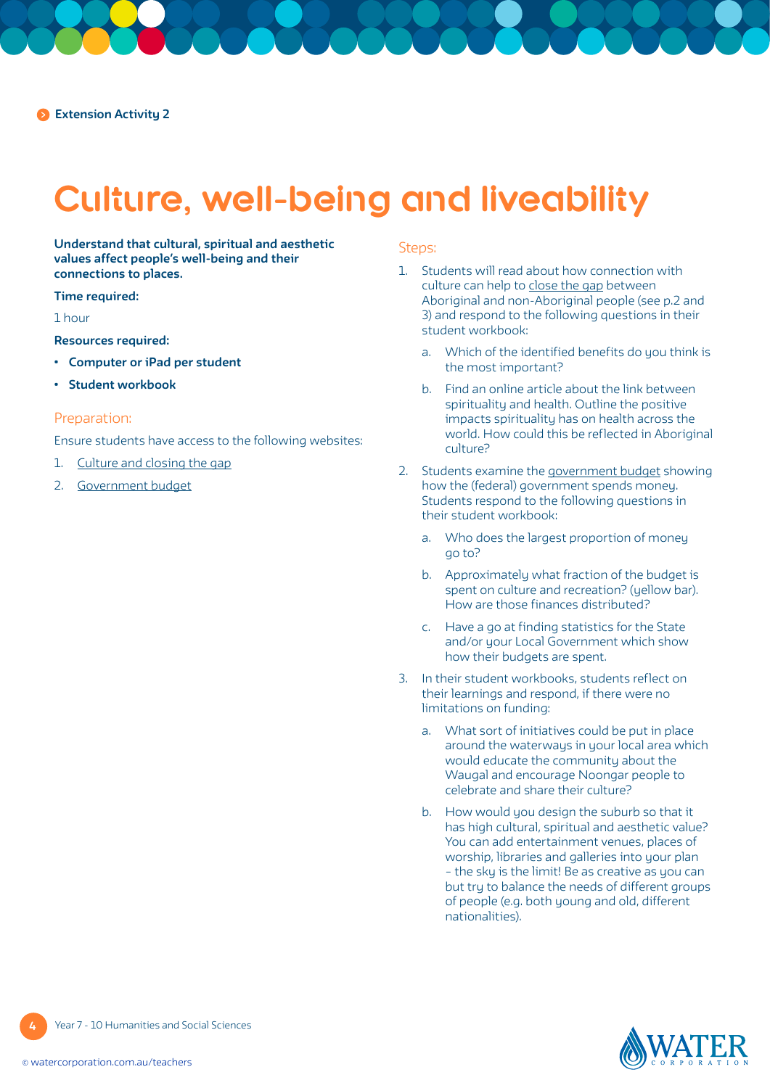# **Culture, well-being and liveability**

**Understand that cultural, spiritual and aesthetic values affect people's well-being and their connections to places.** 

#### **Time required:**

#### 1 hour

**Resources required:**

- **• Computer or iPad per student**
- **• Student workbook**

### Preparation:

Ensure students have access to the following websites:

- 1. [Culture and closing the gap](http://iaha.com.au/wp-content/uploads/2013/03/000214_cultureclosinggap.pdf)
- 2. [Government budget](https://www.abc.net.au/news/2019-04-03/federal-budget-2019-sliced-and-diced-interactive/10959808?nw=0#spending/breakdown/2020/public-order-and-safety)

## Steps:

- 1. Students will read about how connection with culture can help to [close the gap](http://iaha.com.au/wp-content/uploads/2013/03/000214_cultureclosinggap.pdf) between Aboriginal and non-Aboriginal people (see p.2 and 3) and respond to the following questions in their student workbook:
	- a. Which of the identified benefits do you think is the most important?
	- b. Find an online article about the link between spirituality and health. Outline the positive impacts spirituality has on health across the world. How could this be reflected in Aboriginal culture?
- 2. Students examine the [government budget](https://www.abc.net.au/news/2019-04-03/federal-budget-2019-sliced-and-diced-interactive/10959808?nw=0#spending/breakdown/2020/public-order-and-safety) showing how the (federal) government spends money. Students respond to the following questions in their student workbook:
	- a. Who does the largest proportion of money go to?
	- b. Approximately what fraction of the budget is spent on culture and recreation? (yellow bar). How are those finances distributed?
	- c. Have a go at finding statistics for the State and/or your Local Government which show how their budgets are spent.
- 3. In their student workbooks, students reflect on their learnings and respond, if there were no limitations on funding:
	- a. What sort of initiatives could be put in place around the waterways in your local area which would educate the community about the Waugal and encourage Noongar people to celebrate and share their culture?
	- b. How would you design the suburb so that it has high cultural, spiritual and aesthetic value? You can add entertainment venues, places of worship, libraries and galleries into your plan – the sky is the limit! Be as creative as you can but try to balance the needs of different groups of people (e.g. both young and old, different nationalities).



**4**